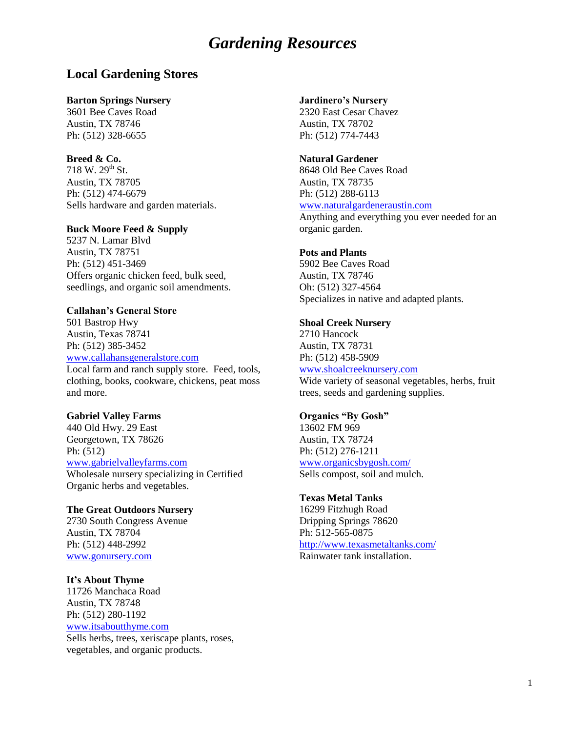## **Local Gardening Stores**

#### **Barton Springs Nursery**

3601 Bee Caves Road Austin, TX 78746 Ph: (512) 328-6655

### **Breed & Co.**

718 W. 29<sup>th</sup> St. Austin, TX 78705 Ph: (512) 474-6679 Sells hardware and garden materials.

### **Buck Moore Feed & Supply**

5237 N. Lamar Blvd Austin, TX 78751 Ph: (512) 451-3469 Offers organic chicken feed, bulk seed, seedlings, and organic soil amendments.

#### **Callahan's General Store**

501 Bastrop Hwy Austin, Texas 78741 Ph: (512) 385-3452

[www.callahansgeneralstore.com](http://www.callahansgeneralstore.com/)

Local farm and ranch supply store. Feed, tools, clothing, books, cookware, chickens, peat moss and more.

### **Gabriel Valley Farms**

440 Old Hwy. 29 East Georgetown, TX 78626 Ph: (512) [www.gabrielvalleyfarms.com](http://www.gabrielvalleyfarms.com/) Wholesale nursery specializing in Certified

Organic herbs and vegetables.

## **The Great Outdoors Nursery**

2730 South Congress Avenue Austin, TX 78704 Ph: (512) 448-2992 [www.gonursery.com](http://www.gonursery.com/)

#### **It's About Thyme**

11726 Manchaca Road Austin, TX 78748 Ph: (512) 280-1192 [www.itsaboutthyme.com](http://www.itsaboutthyme.com/) Sells herbs, trees, xeriscape plants, roses, vegetables, and organic products.

#### **Jardinero's Nursery**

2320 East Cesar Chavez Austin, TX 78702 Ph: (512) 774-7443

#### **Natural Gardener**

8648 Old Bee Caves Road Austin, TX 78735 Ph: (512) 288-6113 [www.naturalgardeneraustin.com](http://www.naturalgardeneraustin.com/)

Anything and everything you ever needed for an organic garden.

#### **Pots and Plants**

5902 Bee Caves Road Austin, TX 78746 Oh: (512) 327-4564 Specializes in native and adapted plants.

#### **Shoal Creek Nursery**

2710 Hancock Austin, TX 78731 Ph: (512) 458-5909 [www.shoalcreeknursery.com](http://www.shoalcreeknursery.com/) Wide variety of seasonal vegetables, herbs, fruit trees, seeds and gardening supplies.

### **Organics "By Gosh"**

13602 FM 969 Austin, TX 78724 Ph: (512) 276-1211 [www.organicsbygosh.com/](http://www.organicsbygosh.com/) Sells compost, soil and mulch.

### **Texas Metal Tanks**

16299 Fitzhugh Road Dripping Springs 78620 Ph: 512-565-0875 <http://www.texasmetaltanks.com/> Rainwater tank installation.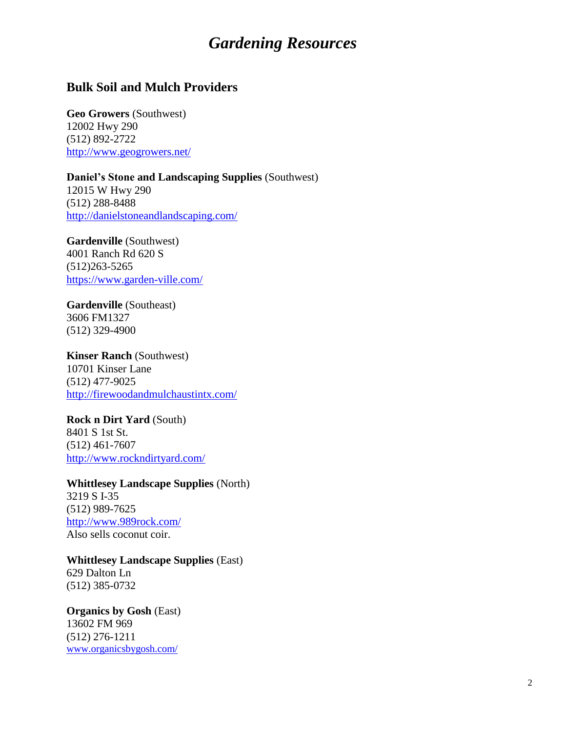## **Bulk Soil and Mulch Providers**

**Geo Growers** (Southwest) 12002 Hwy 290 (512) 892-2722 <http://www.geogrowers.net/>

**Daniel's Stone and Landscaping Supplies** (Southwest) 12015 W Hwy 290 (512) 288-8488

<http://danielstoneandlandscaping.com/>

**Gardenville** (Southwest) 4001 Ranch Rd 620 S (512)263-5265 <https://www.garden-ville.com/>

**Gardenville** (Southeast) 3606 FM1327 (512) 329-4900

**Kinser Ranch** (Southwest) 10701 Kinser Lane (512) 477-9025 <http://firewoodandmulchaustintx.com/>

**Rock n Dirt Yard** (South) 8401 S 1st St. (512) 461-7607 <http://www.rockndirtyard.com/>

**Whittlesey Landscape Supplies** (North)

3219 S I-35 (512) 989-7625 <http://www.989rock.com/> Also sells coconut coir.

**Whittlesey Landscape Supplies** (East)

629 Dalton Ln (512) 385-0732

**Organics by Gosh** (East) 13602 FM 969 (512) 276-1211

[www.organicsbygosh.com/](http://www.organicsbygosh.com/)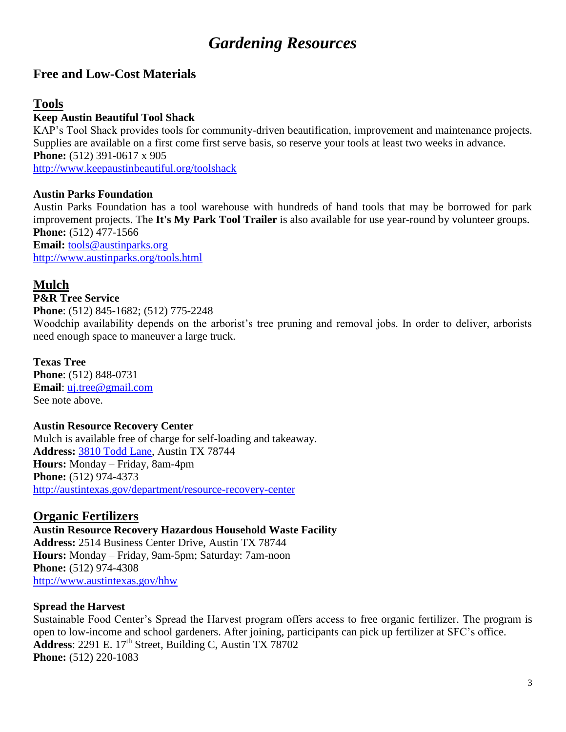# **Free and Low-Cost Materials**

# **Tools**

## **Keep Austin Beautiful Tool Shack**

KAP's Tool Shack provides tools for community-driven beautification, improvement and maintenance projects. Supplies are available on a first come first serve basis, so reserve your tools at least two weeks in advance. **Phone:** (512) 391-0617 x 905 <http://www.keepaustinbeautiful.org/toolshack>

## **Austin Parks Foundation**

Austin Parks Foundation has a tool warehouse with hundreds of hand tools that may be borrowed for park improvement projects. The **It's My Park Tool Trailer** is also available for use year-round by volunteer groups. **Phone:** (512) 477-1566 **Email:** [tools@austinparks.org](mailto:tools@austinparks.org)

<http://www.austinparks.org/tools.html>

# **Mulch**

## **P&R Tree Service**

**Phone**: (512) 845-1682; (512) 775-2248

Woodchip availability depends on the arborist's tree pruning and removal jobs. In order to deliver, arborists need enough space to maneuver a large truck.

## **Texas Tree**

**Phone**: (512) 848-0731 **Email**: [uj.tree@gmail.com](mailto:uj.tree@gmail.com) See note above.

## **Austin Resource Recovery Center**

Mulch is available free of charge for self-loading and takeaway. **Address:** [3810 Todd Lane,](https://maps.google.com/maps?q=3810+Todd+Lane&oe=utf-8&client=firefox-a&hnear=3810+Todd+Ln,+Austin,+Travis,+Texas+78744&gl=us&t=m&z=16) Austin TX 78744 **Hours:** Monday – Friday, 8am-4pm **Phone:** (512) 974-4373 <http://austintexas.gov/department/resource-recovery-center>

# **Organic Fertilizers**

**Austin Resource Recovery Hazardous Household Waste Facility Address:** 2514 Business Center Drive, Austin TX 78744 **Hours:** Monday – Friday, 9am-5pm; Saturday: 7am-noon **Phone:** (512) 974-4308 <http://www.austintexas.gov/hhw>

## **Spread the Harvest**

Sustainable Food Center's Spread the Harvest program offers access to free organic fertilizer. The program is open to low-income and school gardeners. After joining, participants can pick up fertilizer at SFC's office. Address: 2291 E. 17<sup>th</sup> Street, Building C, Austin TX 78702 **Phone:** (512) 220-1083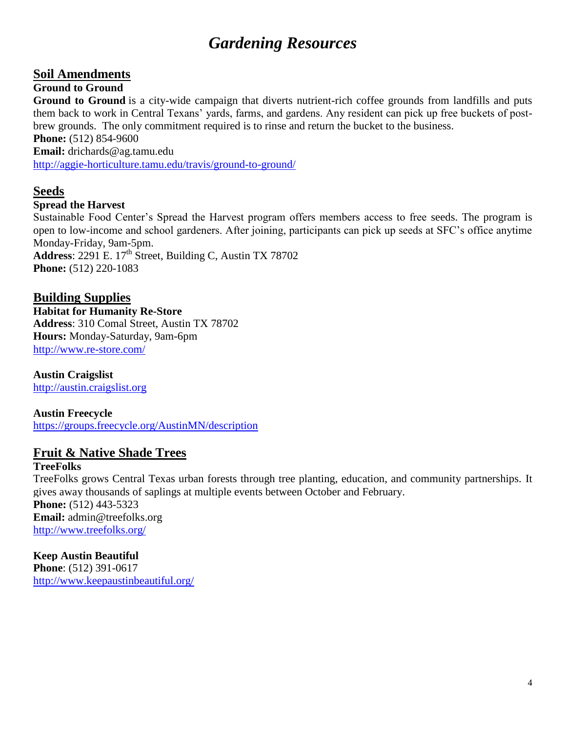# **Soil Amendments**

## **Ground to Ground**

**Ground to Ground** is a city-wide campaign that diverts nutrient-rich coffee grounds from landfills and puts them back to work in Central Texans' yards, farms, and gardens. Any resident can pick up free buckets of postbrew grounds. The only commitment required is to rinse and return the bucket to the business.

**Phone:** (512) 854-9600

**Email:** drichards@ag.tamu.edu

<http://aggie-horticulture.tamu.edu/travis/ground-to-ground/>

## **Seeds**

## **Spread the Harvest**

Sustainable Food Center's Spread the Harvest program offers members access to free seeds. The program is open to low-income and school gardeners. After joining, participants can pick up seeds at SFC's office anytime Monday-Friday, 9am-5pm. Address: 2291 E. 17<sup>th</sup> Street, Building C, Austin TX 78702 **Phone:** (512) 220-1083

**Building Supplies**

**Habitat for Humanity Re-Store Address**: 310 Comal Street, Austin TX 78702 **Hours:** Monday-Saturday, 9am-6pm <http://www.re-store.com/>

**Austin Craigslist** 

[http://austin.craigslist.org](http://austin.craigslist.org/)

**Austin Freecycle**

<https://groups.freecycle.org/AustinMN/description>

# **Fruit & Native Shade Trees**

## **TreeFolks**

TreeFolks grows Central Texas urban forests through tree planting, education, and community partnerships. It gives away thousands of saplings at multiple events between October and February. **Phone:** (512) 443-5323 **Email:** admin@treefolks.org <http://www.treefolks.org/>

## **Keep Austin Beautiful**

**Phone**: (512) 391-0617 <http://www.keepaustinbeautiful.org/>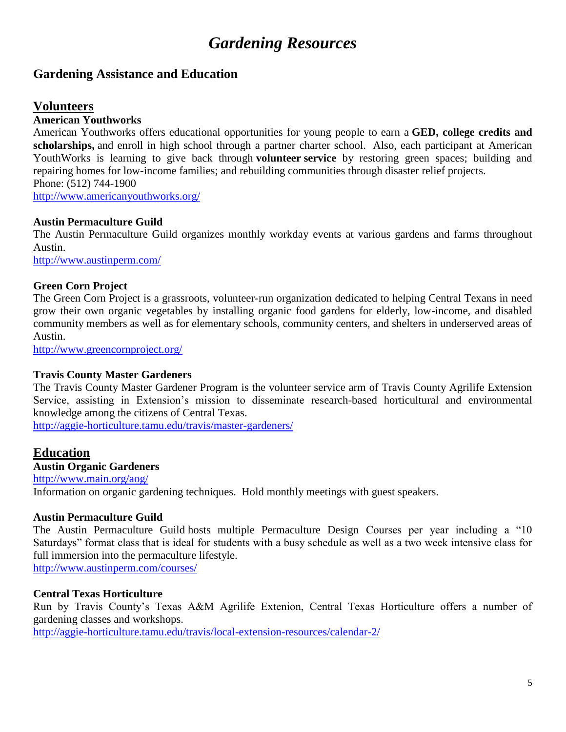## **Gardening Assistance and Education**

## **Volunteers**

## **American Youthworks**

American Youthworks offers educational opportunities for young people to earn a **GED, college credits and scholarships,** and enroll in high school through a partner charter school. Also, each participant at American YouthWorks is learning to give back through **volunteer service** by restoring green spaces; building and repairing homes for low-income families; and rebuilding communities through disaster relief projects. Phone: (512) 744-1900

<http://www.americanyouthworks.org/>

## **Austin Permaculture Guild**

The Austin Permaculture Guild organizes monthly workday events at various gardens and farms throughout Austin.

<http://www.austinperm.com/>

## **Green Corn Project**

The Green Corn Project is a grassroots, volunteer-run organization dedicated to helping Central Texans in need grow their own organic vegetables by installing organic food gardens for elderly, low-income, and disabled community members as well as for elementary schools, community centers, and shelters in underserved areas of Austin.

<http://www.greencornproject.org/>

## **Travis County Master Gardeners**

The Travis County Master Gardener Program is the volunteer service arm of Travis County Agrilife Extension Service, assisting in Extension's mission to disseminate research-based horticultural and environmental knowledge among the citizens of Central Texas.

<http://aggie-horticulture.tamu.edu/travis/master-gardeners/>

## **Education**

## **Austin Organic Gardeners**

<http://www.main.org/aog/> Information on organic gardening techniques. Hold monthly meetings with guest speakers.

## **Austin Permaculture Guild**

The Austin Permaculture Guild hosts multiple Permaculture Design Courses per year including a "10 Saturdays" format class that is ideal for students with a busy schedule as well as a two week intensive class for full immersion into the permaculture lifestyle.

<http://www.austinperm.com/courses/>

## **Central Texas Horticulture**

Run by Travis County's Texas A&M Agrilife Extenion, Central Texas Horticulture offers a number of gardening classes and workshops.

<http://aggie-horticulture.tamu.edu/travis/local-extension-resources/calendar-2/>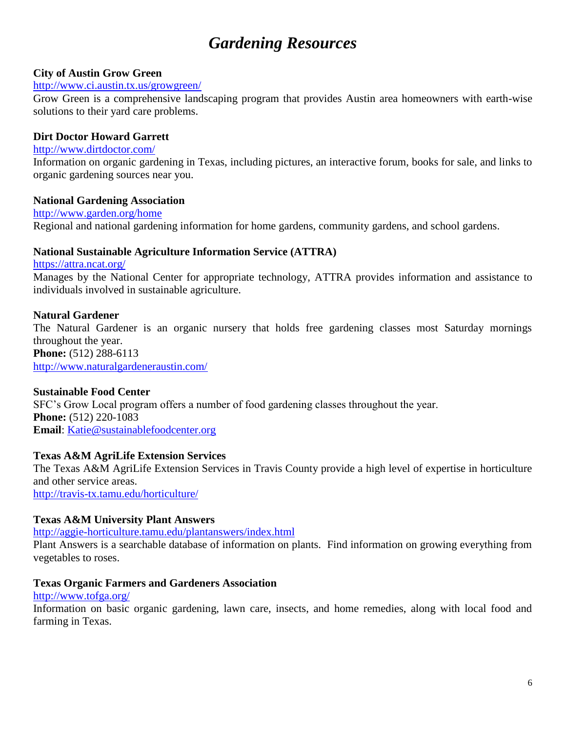## **City of Austin Grow Green**

### <http://www.ci.austin.tx.us/growgreen/>

Grow Green is a comprehensive landscaping program that provides Austin area homeowners with earth-wise solutions to their yard care problems.

## **Dirt Doctor Howard Garrett**

## <http://www.dirtdoctor.com/>

Information on organic gardening in Texas, including pictures, an interactive forum, books for sale, and links to organic gardening sources near you.

## **National Gardening Association**

<http://www.garden.org/home> Regional and national gardening information for home gardens, community gardens, and school gardens.

## **National Sustainable Agriculture Information Service (ATTRA)**

<https://attra.ncat.org/> Manages by the National Center for appropriate technology, ATTRA provides information and assistance to individuals involved in sustainable agriculture.

## **Natural Gardener**

The Natural Gardener is an organic nursery that holds free gardening classes most Saturday mornings throughout the year. **Phone:** (512) 288-6113

<http://www.naturalgardeneraustin.com/>

## **Sustainable Food Center**

SFC's Grow Local program offers a number of food gardening classes throughout the year. **Phone:** (512) 220-1083 **Email**: [Katie@sustainablefoodcenter.org](mailto:Katie@sustainablefoodcenter.org)

## **Texas A&M AgriLife Extension Services**

The Texas A&M AgriLife Extension Services in Travis County provide a high level of expertise in horticulture and other service areas.

<http://travis-tx.tamu.edu/horticulture/>

## **Texas A&M University Plant Answers**

## <http://aggie-horticulture.tamu.edu/plantanswers/index.html>

Plant Answers is a searchable database of information on plants. Find information on growing everything from vegetables to roses.

## **Texas Organic Farmers and Gardeners Association**

### <http://www.tofga.org/>

Information on basic organic gardening, lawn care, insects, and home remedies, along with local food and farming in Texas.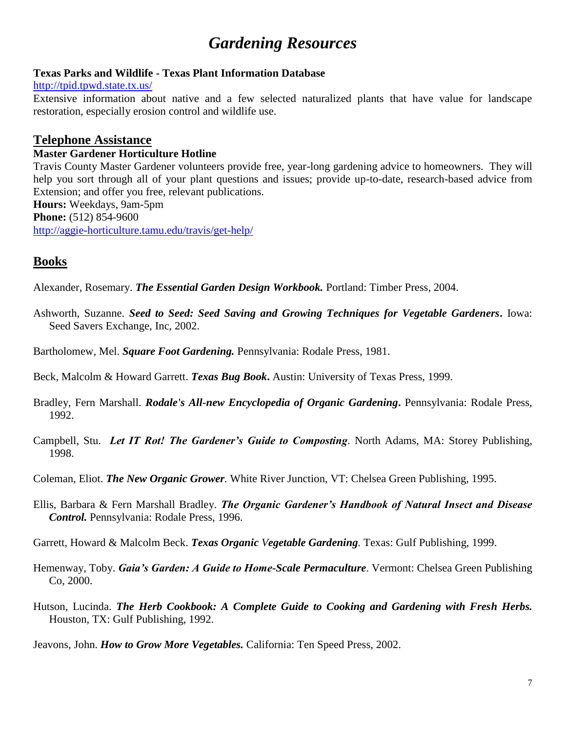## **Texas Parks and Wildlife - Texas Plant Information Database**

<http://tpid.tpwd.state.tx.us/>

Extensive information about native and a few selected naturalized plants that have value for landscape restoration, especially erosion control and wildlife use.

## **Telephone Assistance**

## **Master Gardener Horticulture Hotline**

Travis County Master Gardener volunteers provide free, year-long gardening advice to homeowners. They will help you sort through all of your plant questions and issues; provide up-to-date, research-based advice from Extension; and offer you free, relevant publications.

**Hours:** Weekdays, 9am-5pm

**Phone:** (512) 854-9600

<http://aggie-horticulture.tamu.edu/travis/get-help/>

# **Books**

Alexander, Rosemary. *The Essential Garden Design Workbook.* Portland: Timber Press, 2004.

- Ashworth, Suzanne. *Seed to Seed: Seed Saving and Growing Techniques for Vegetable Gardeners***.** Iowa: Seed Savers Exchange, Inc, 2002.
- Bartholomew, Mel. *Square Foot Gardening.* Pennsylvania: Rodale Press, 1981.
- Beck, Malcolm & Howard Garrett. *Texas Bug Book***.** Austin: University of Texas Press, 1999.
- Bradley, Fern Marshall. *Rodale's All-new Encyclopedia of Organic Gardening***.** Pennsylvania: Rodale Press, 1992.
- Campbell, Stu. *Let IT Rot! The Gardener's Guide to Composting.* North Adams, MA: Storey Publishing, 1998.
- Coleman, Eliot. *The New Organic Grower.* White River Junction, VT: Chelsea Green Publishing, 1995.
- Ellis, Barbara & Fern Marshall Bradley. *The Organic Gardener's Handbook of Natural Insect and Disease Control.* Pennsylvania: Rodale Press, 1996.
- Garrett, Howard & Malcolm Beck. *Texas Organic Vegetable Gardening.* Texas: Gulf Publishing, 1999.
- Hemenway, Toby. *Gaia's Garden: A Guide to Home-Scale Permaculture*. Vermont: Chelsea Green Publishing Co, 2000.
- Hutson, Lucinda. *The Herb Cookbook: A Complete Guide to Cooking and Gardening with Fresh Herbs.* Houston, TX: Gulf Publishing, 1992.
- Jeavons, John. *How to Grow More Vegetables.* California: Ten Speed Press, 2002.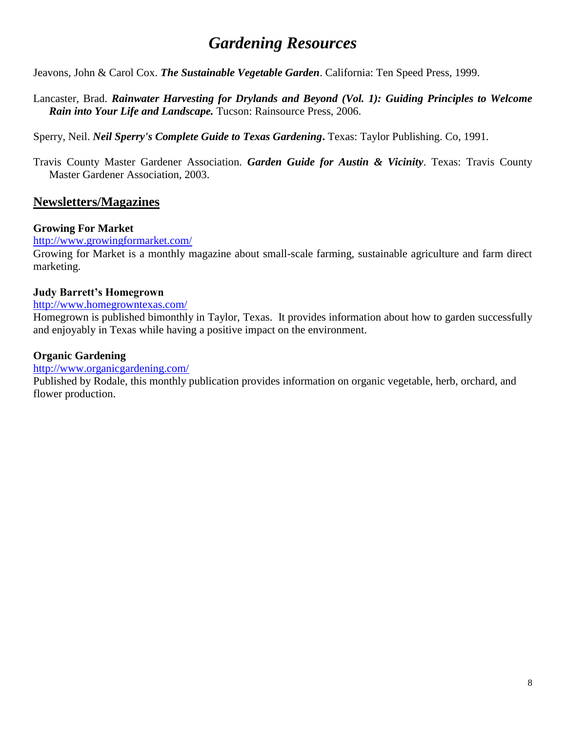Jeavons, John & Carol Cox. *The Sustainable Vegetable Garden*. California: Ten Speed Press, 1999.

Lancaster, Brad. *Rainwater Harvesting for Drylands and Beyond (Vol. 1): Guiding Principles to Welcome Rain into Your Life and Landscape.* Tucson: Rainsource Press, 2006.

Sperry, Neil. *Neil Sperry's Complete Guide to Texas Gardening***.** Texas: Taylor Publishing. Co, 1991.

Travis County Master Gardener Association. *Garden Guide for Austin & Vicinity*. Texas: Travis County Master Gardener Association, 2003.

# **Newsletters/Magazines**

## **Growing For Market**

## <http://www.growingformarket.com/>

Growing for Market is a monthly magazine about small-scale farming, sustainable agriculture and farm direct marketing.

## **Judy Barrett's Homegrown**

## <http://www.homegrowntexas.com/>

Homegrown is published bimonthly in Taylor, Texas. It provides information about how to garden successfully and enjoyably in Texas while having a positive impact on the environment.

## **Organic Gardening**

## <http://www.organicgardening.com/>

Published by Rodale, this monthly publication provides information on organic vegetable, herb, orchard, and flower production.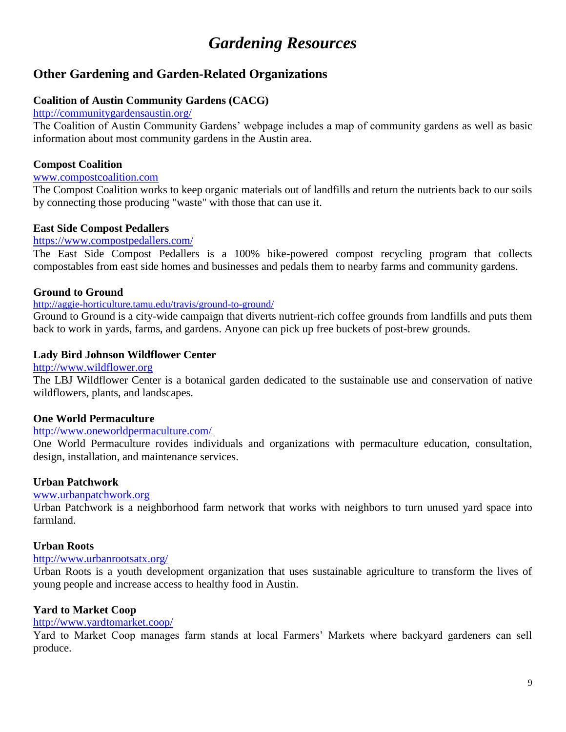# **Other Gardening and Garden-Related Organizations**

## **Coalition of Austin Community Gardens (CACG)**

### <http://communitygardensaustin.org/>

The Coalition of Austin Community Gardens' webpage includes a map of community gardens as well as basic information about most community gardens in the Austin area.

## **Compost Coalition**

### [www.compostcoalition.com](http://www.compostcoalition.com/)

The Compost Coalition works to keep organic materials out of landfills and return the nutrients back to our soils by connecting those producing "waste" with those that can use it.

## **East Side Compost Pedallers**

## <https://www.compostpedallers.com/>

The East Side Compost Pedallers is a 100% bike-powered compost recycling program that collects compostables from east side homes and businesses and pedals them to nearby farms and community gardens.

## **Ground to Ground**

## <http://aggie-horticulture.tamu.edu/travis/ground-to-ground/>

Ground to Ground is a city-wide campaign that diverts nutrient-rich coffee grounds from landfills and puts them back to work in yards, farms, and gardens. Anyone can pick up free buckets of post-brew grounds.

## **Lady Bird Johnson Wildflower Center**

[http://www.wildflower.org](http://www.wildflower.org/)

The LBJ Wildflower Center is a botanical garden dedicated to the sustainable use and conservation of native wildflowers, plants, and landscapes.

## **One World Permaculture**

## <http://www.oneworldpermaculture.com/>

One World Permaculture rovides individuals and organizations with permaculture education, consultation, design, installation, and maintenance [services.](http://www.oneworldpermaculture.com/services.html)

## **Urban Patchwork**

## [www.urbanpatchwork.org](http://www.urbanpatchwork.org/)

Urban Patchwork is a neighborhood farm network that works with neighbors to turn unused yard space into farmland.

## **Urban Roots**

## <http://www.urbanrootsatx.org/>

Urban Roots is a youth development organization that uses sustainable agriculture to transform the lives of young people and increase access to healthy food in Austin.

## **Yard to Market Coop**

## <http://www.yardtomarket.coop/>

Yard to Market Coop manages farm stands at local Farmers' Markets where backyard gardeners can sell produce.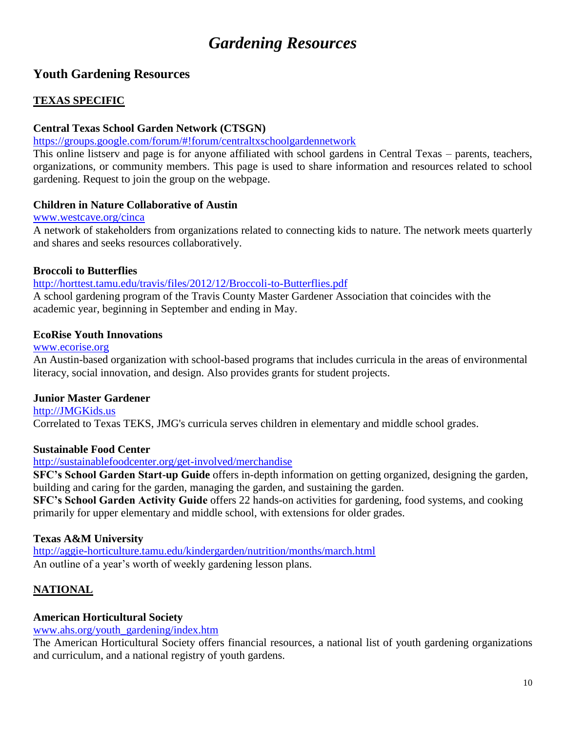# **Youth Gardening Resources**

## **TEXAS SPECIFIC**

## **Central Texas School Garden Network (CTSGN)**

## <https://groups.google.com/forum/#!forum/centraltxschoolgardennetwork>

This online listserv and page is for anyone affiliated with school gardens in Central Texas – parents, teachers, organizations, or community members. This page is used to share information and resources related to school gardening. Request to join the group on the webpage.

## **Children in Nature Collaborative of Austin**

## [www.westcave.org/cinca](http://www.westcave.org/cinca)

A network of stakeholders from organizations related to connecting kids to nature. The network meets quarterly and shares and seeks resources collaboratively.

## **Broccoli to Butterflies**

## <http://horttest.tamu.edu/travis/files/2012/12/Broccoli-to-Butterflies.pdf>

A school gardening program of the Travis County Master Gardener Association that coincides with the academic year, beginning in September and ending in May.

## **EcoRise Youth Innovations**

## [www.ecorise.org](http://www.ecorise.org/)

An Austin-based organization with school-based programs that includes curricula in the areas of environmental literacy, social innovation, and design. Also provides grants for student projects.

## **Junior Master Gardener**

[http://JMGKids.us](http://jmgkids.us/) Correlated to Texas TEKS, JMG's curricula serves children in elementary and middle school grades.

## **Sustainable Food Center**

## <http://sustainablefoodcenter.org/get-involved/merchandise>

**SFC's School Garden Start-up Guide** offers in-depth information on getting organized, designing the garden, building and caring for the garden, managing the garden, and sustaining the garden.

**SFC's School Garden Activity Guide** offers 22 hands-on activities for gardening, food systems, and cooking primarily for upper elementary and middle school, with extensions for older grades.

## **Texas A&M University**

<http://aggie-horticulture.tamu.edu/kindergarden/nutrition/months/march.html> An outline of a year's worth of weekly gardening lesson plans.

## **NATIONAL**

## **American Horticultural Society**

## [www.ahs.org/youth\\_gardening/index.htm](http://www.ahs.org/youth_gardening/index.htm)

The American Horticultural Society offers financial resources, a national list of youth gardening organizations and curriculum, and a national registry of youth gardens.